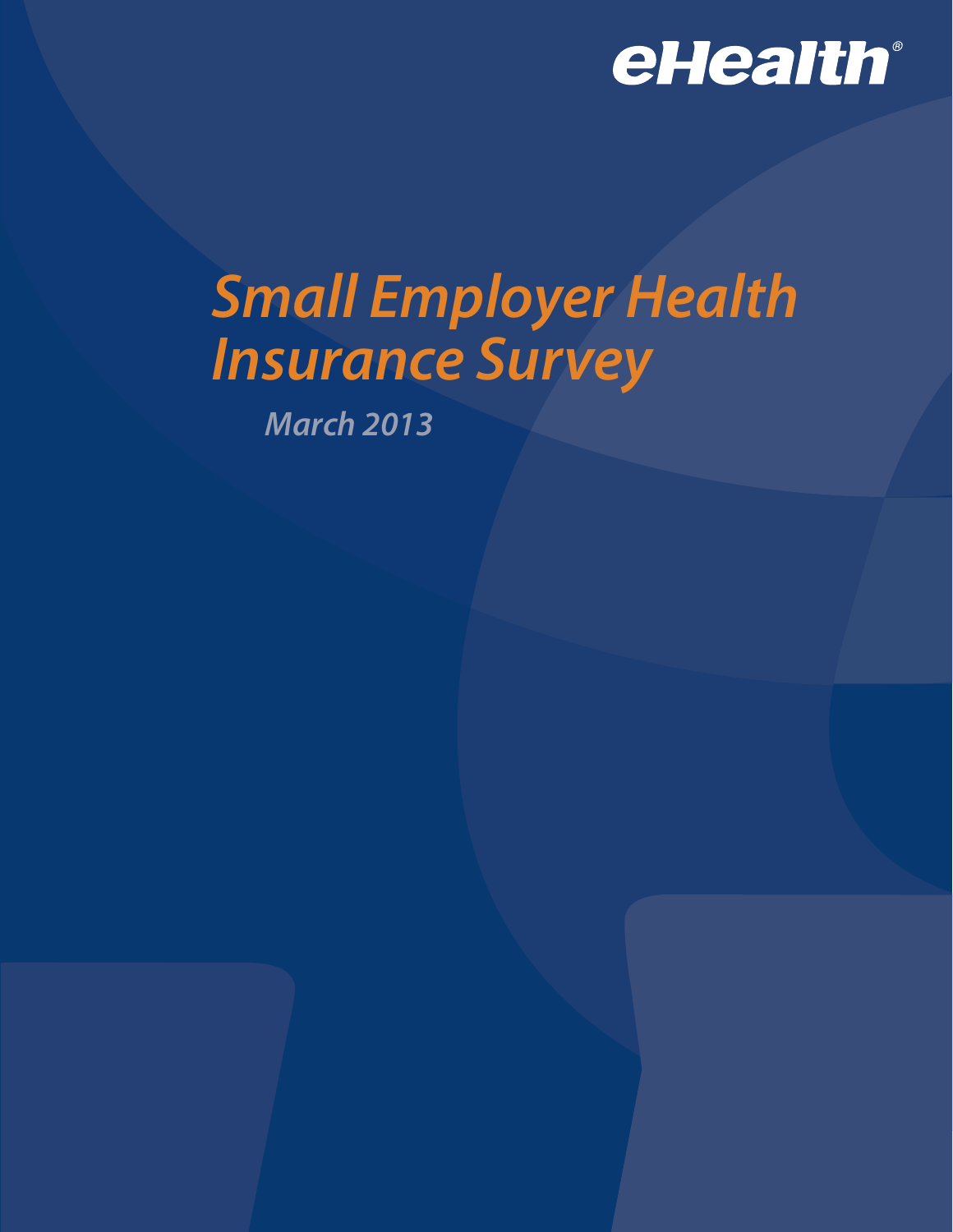

# *Small Employer Health Insurance Survey*

*March 2013*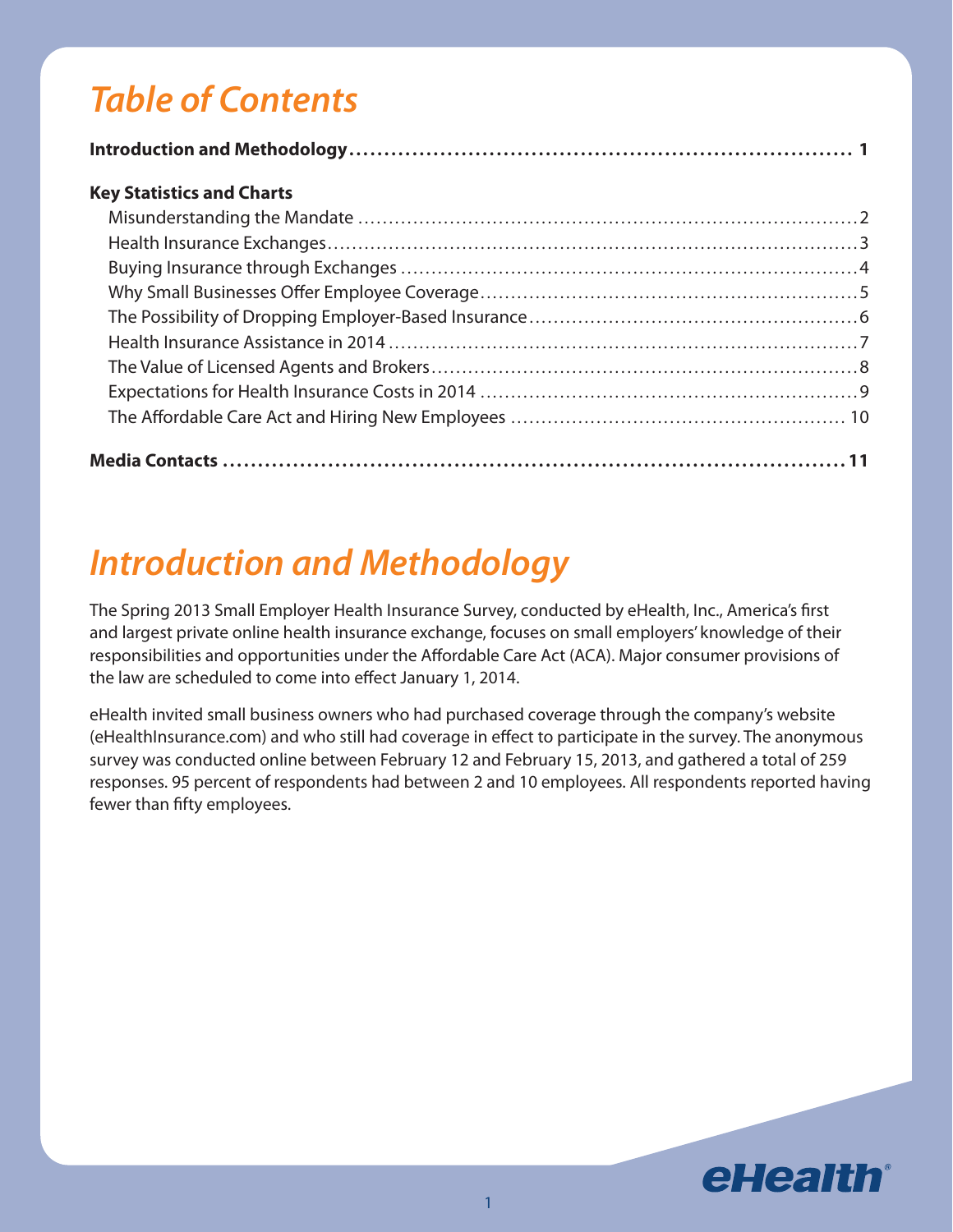## *Table of Contents*

#### **Key Statistics and Charts**

## *Introduction and Methodology*

The Spring 2013 Small Employer Health Insurance Survey, conducted by eHealth, Inc., America's first and largest private online health insurance exchange, focuses on small employers' knowledge of their responsibilities and opportunities under the Affordable Care Act (ACA). Major consumer provisions of the law are scheduled to come into effect January 1, 2014.

eHealth invited small business owners who had purchased coverage through the company's website (eHealthInsurance.com) and who still had coverage in effect to participate in the survey. The anonymous survey was conducted online between February 12 and February 15, 2013, and gathered a total of 259 responses. 95 percent of respondents had between 2 and 10 employees. All respondents reported having fewer than fifty employees.

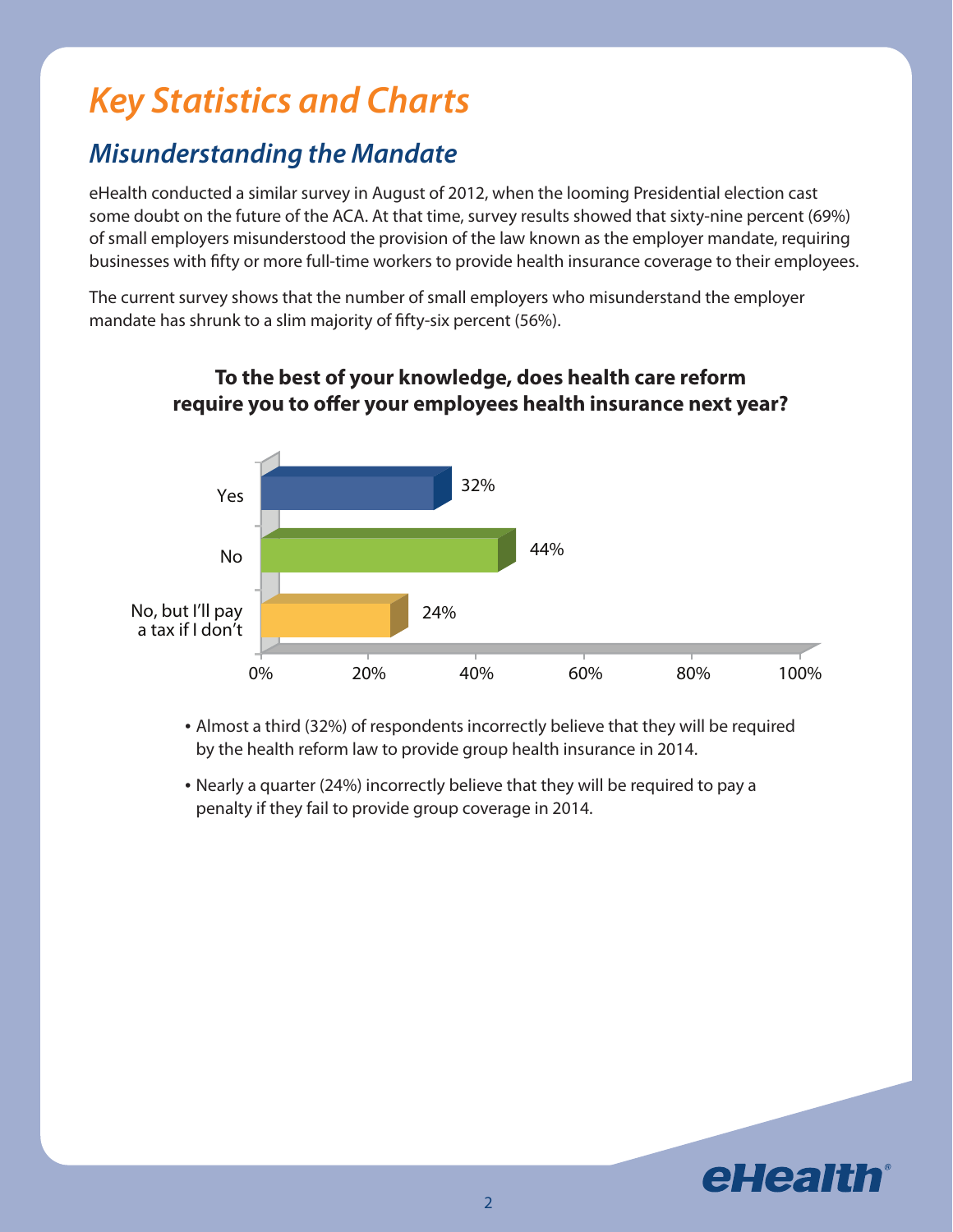## *Key Statistics and Charts*

## *Misunderstanding the Mandate*

eHealth conducted a similar survey in August of 2012, when the looming Presidential election cast some doubt on the future of the ACA. At that time, survey results showed that sixty-nine percent (69%) of small employers misunderstood the provision of the law known as the employer mandate, requiring businesses with fifty or more full-time workers to provide health insurance coverage to their employees.

The current survey shows that the number of small employers who misunderstand the employer mandate has shrunk to a slim majority of fifty-six percent (56%).



#### **To the best of your knowledge, does health care reform require you to offer your employees health insurance next year?**

• Almost a third (32%) of respondents incorrectly believe that they will be required by the health reform law to provide group health insurance in 2014.

• Nearly a quarter (24%) incorrectly believe that they will be required to pay a penalty if they fail to provide group coverage in 2014.

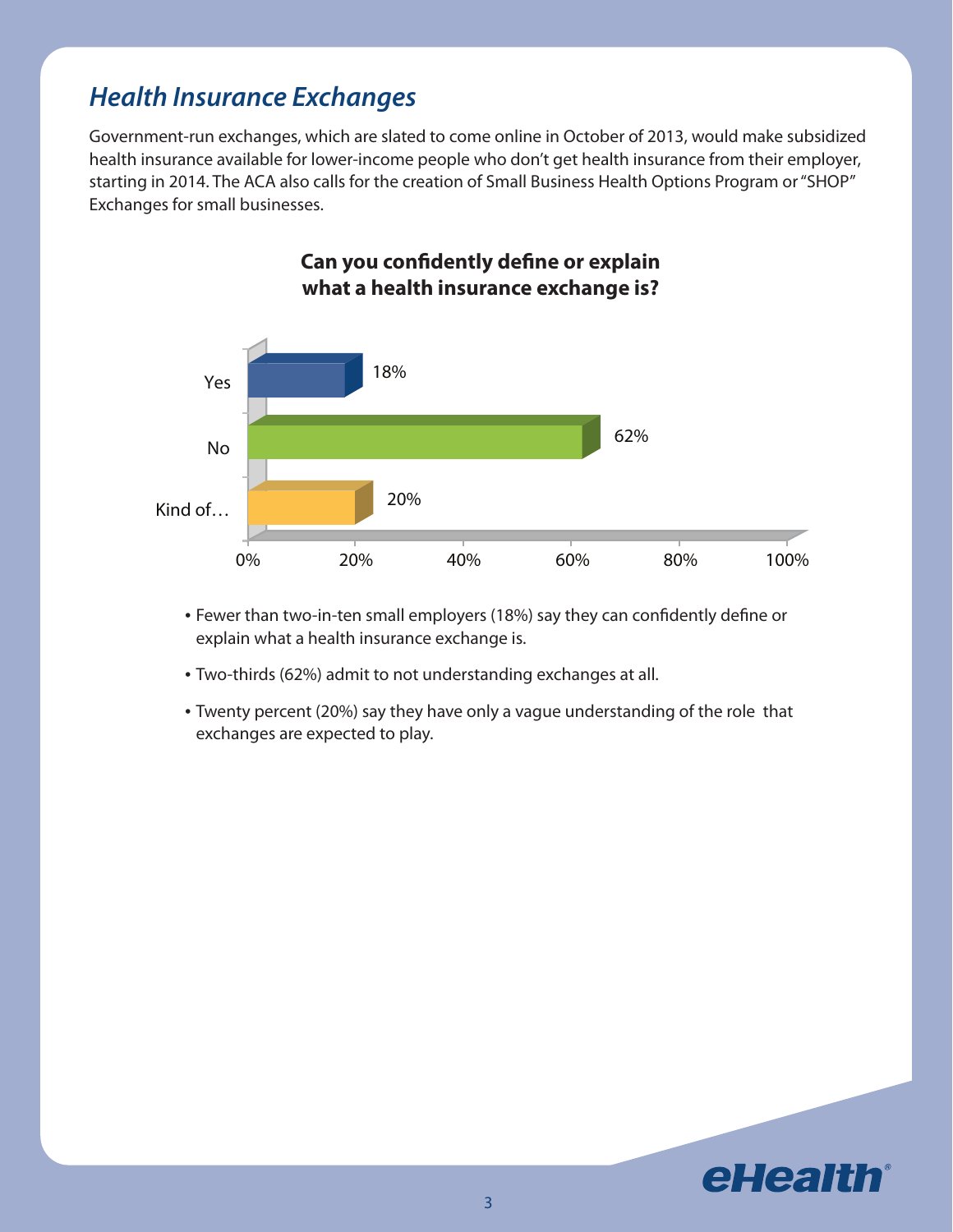### *Health Insurance Exchanges*

Government-run exchanges, which are slated to come online in October of 2013, would make subsidized health insurance available for lower-income people who don't get health insurance from their employer, starting in 2014. The ACA also calls for the creation of Small Business Health Options Program or "SHOP" Exchanges for small businesses.



**Can you confidently define or explain what a health insurance exchange is?**

- Fewer than two-in-ten small employers (18%) say they can confidently define or explain what a health insurance exchange is.
- Two-thirds (62%) admit to not understanding exchanges at all.
- Twenty percent (20%) say they have only a vague understanding of the role that exchanges are expected to play.

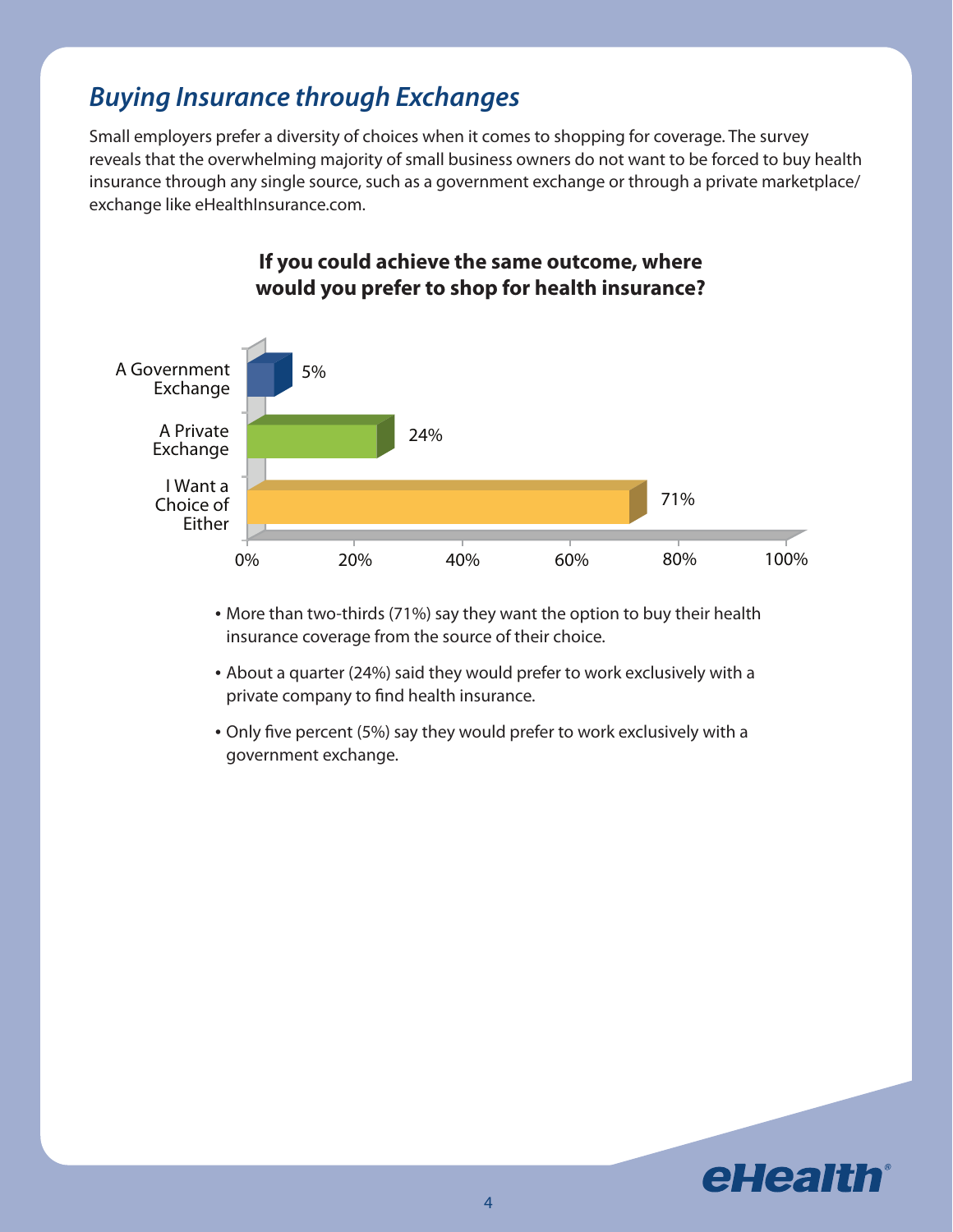### *Buying Insurance through Exchanges*

Small employers prefer a diversity of choices when it comes to shopping for coverage. The survey reveals that the overwhelming majority of small business owners do not want to be forced to buy health insurance through any single source, such as a government exchange or through a private marketplace/ exchange like eHealthInsurance.com.



#### **If you could achieve the same outcome, where would you prefer to shop for health insurance?**

- More than two-thirds (71%) say they want the option to buy their health insurance coverage from the source of their choice.
- About a quarter (24%) said they would prefer to work exclusively with a private company to find health insurance.
- Only five percent (5%) say they would prefer to work exclusively with a government exchange.

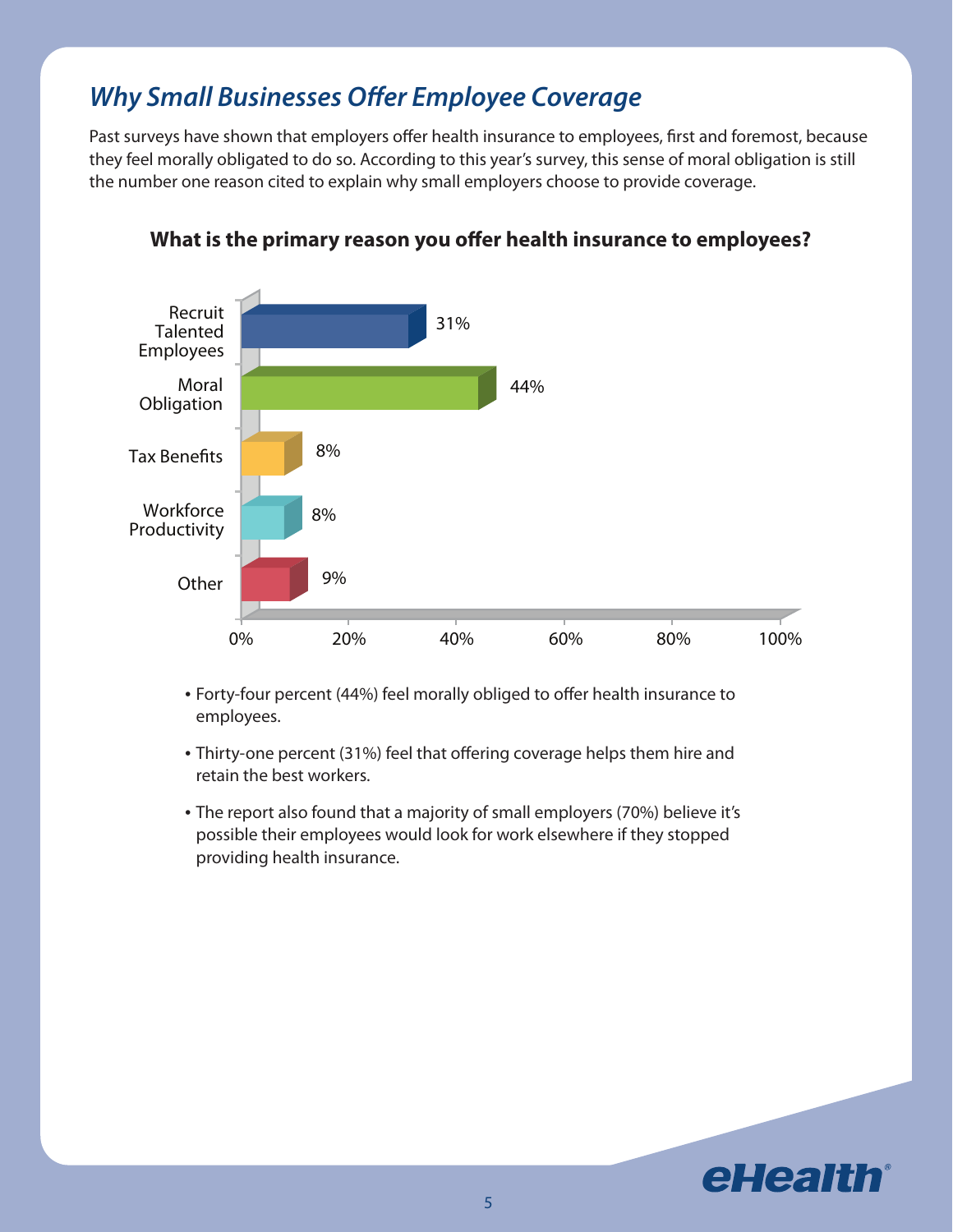## *Why Small Businesses Offer Employee Coverage*

Past surveys have shown that employers offer health insurance to employees, first and foremost, because they feel morally obligated to do so. According to this year's survey, this sense of moral obligation is still the number one reason cited to explain why small employers choose to provide coverage.



#### **What is the primary reason you offer health insurance to employees?**

- Forty-four percent (44%) feel morally obliged to offer health insurance to employees.
- Thirty-one percent (31%) feel that offering coverage helps them hire and retain the best workers.
- The report also found that a majority of small employers (70%) believe it's possible their employees would look for work elsewhere if they stopped providing health insurance.

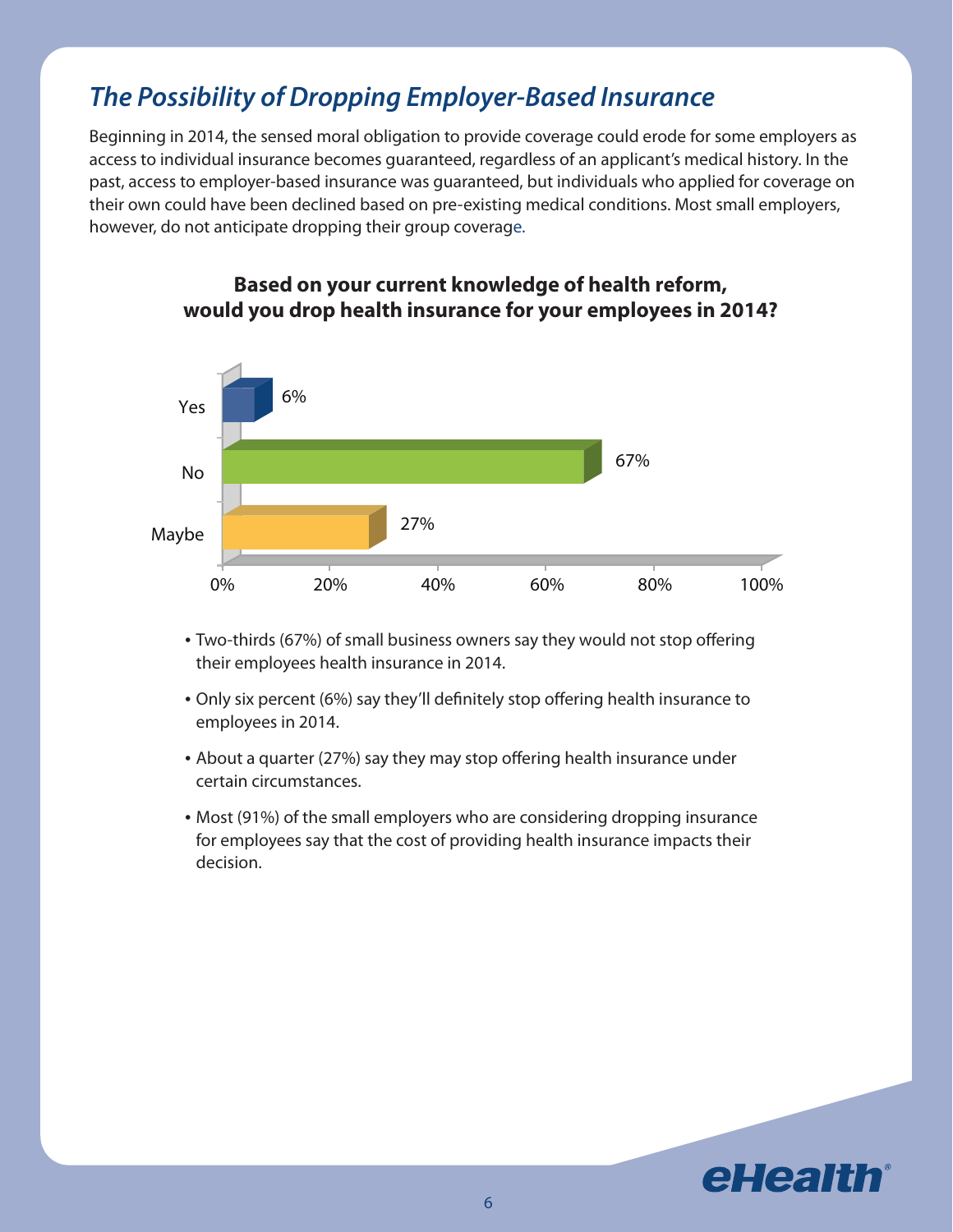## *The Possibility of Dropping Employer-Based Insurance*

Beginning in 2014, the sensed moral obligation to provide coverage could erode for some employers as access to individual insurance becomes guaranteed, regardless of an applicant's medical history. In the past, access to employer-based insurance was guaranteed, but individuals who applied for coverage on their own could have been declined based on pre-existing medical conditions. Most small employers, however, do not anticipate dropping their group coverage.



#### **Based on your current knowledge of health reform, would you drop health insurance for your employees in 2014?**

- Two-thirds (67%) of small business owners say they would not stop offering their employees health insurance in 2014.
- Only six percent (6%) say they'll definitely stop offering health insurance to employees in 2014.
- About a quarter (27%) say they may stop offering health insurance under certain circumstances.
- Most (91%) of the small employers who are considering dropping insurance for employees say that the cost of providing health insurance impacts their decision.

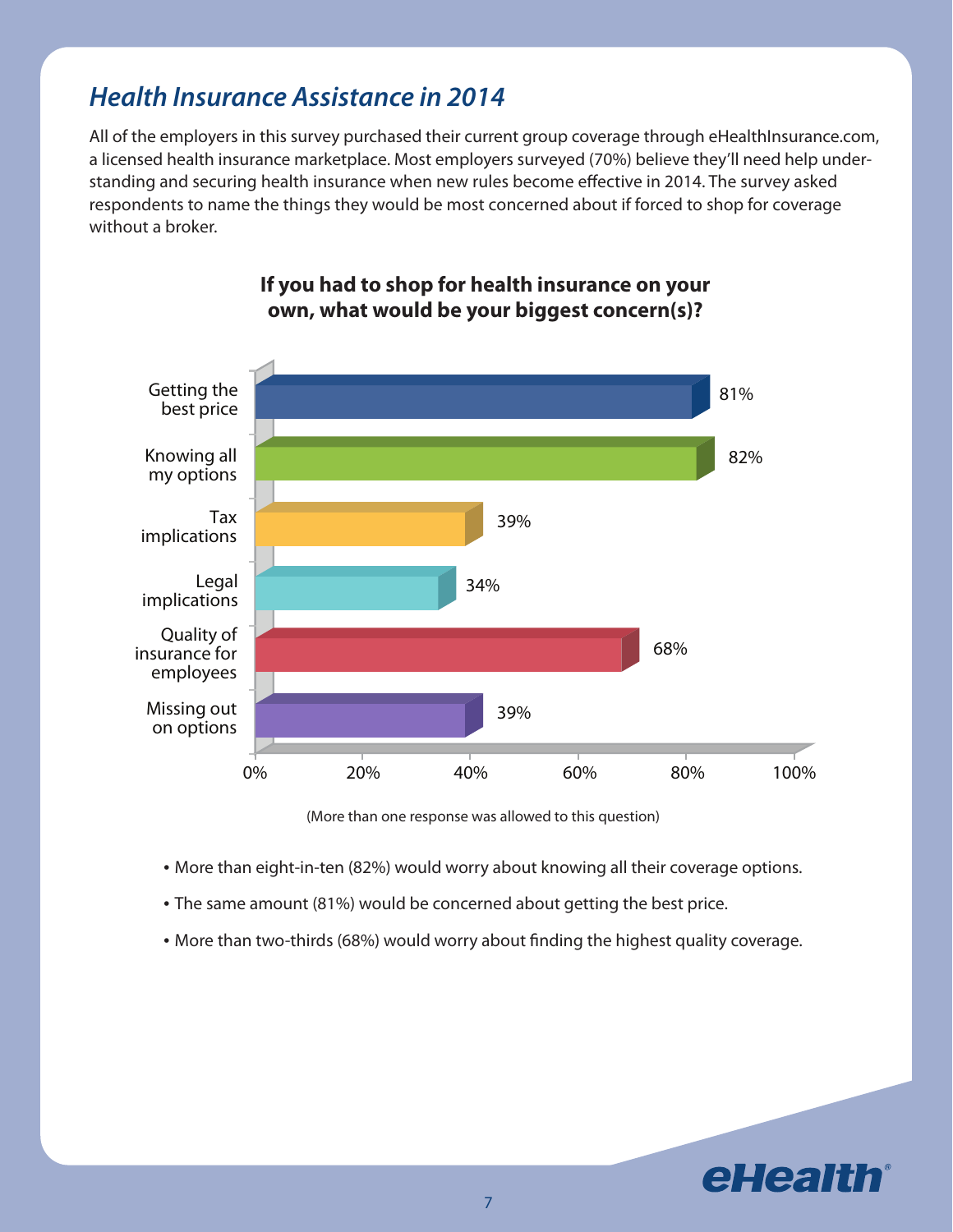### *Health Insurance Assistance in 2014*

All of the employers in this survey purchased their current group coverage through eHealthInsurance.com, a licensed health insurance marketplace. Most employers surveyed (70%) believe they'll need help understanding and securing health insurance when new rules become effective in 2014. The survey asked respondents to name the things they would be most concerned about if forced to shop for coverage without a broker.



#### **If you had to shop for health insurance on your own, what would be your biggest concern(s)?**

(More than one response was allowed to this question)

- More than eight-in-ten (82%) would worry about knowing all their coverage options.
- The same amount (81%) would be concerned about getting the best price.
- More than two-thirds (68%) would worry about finding the highest quality coverage.

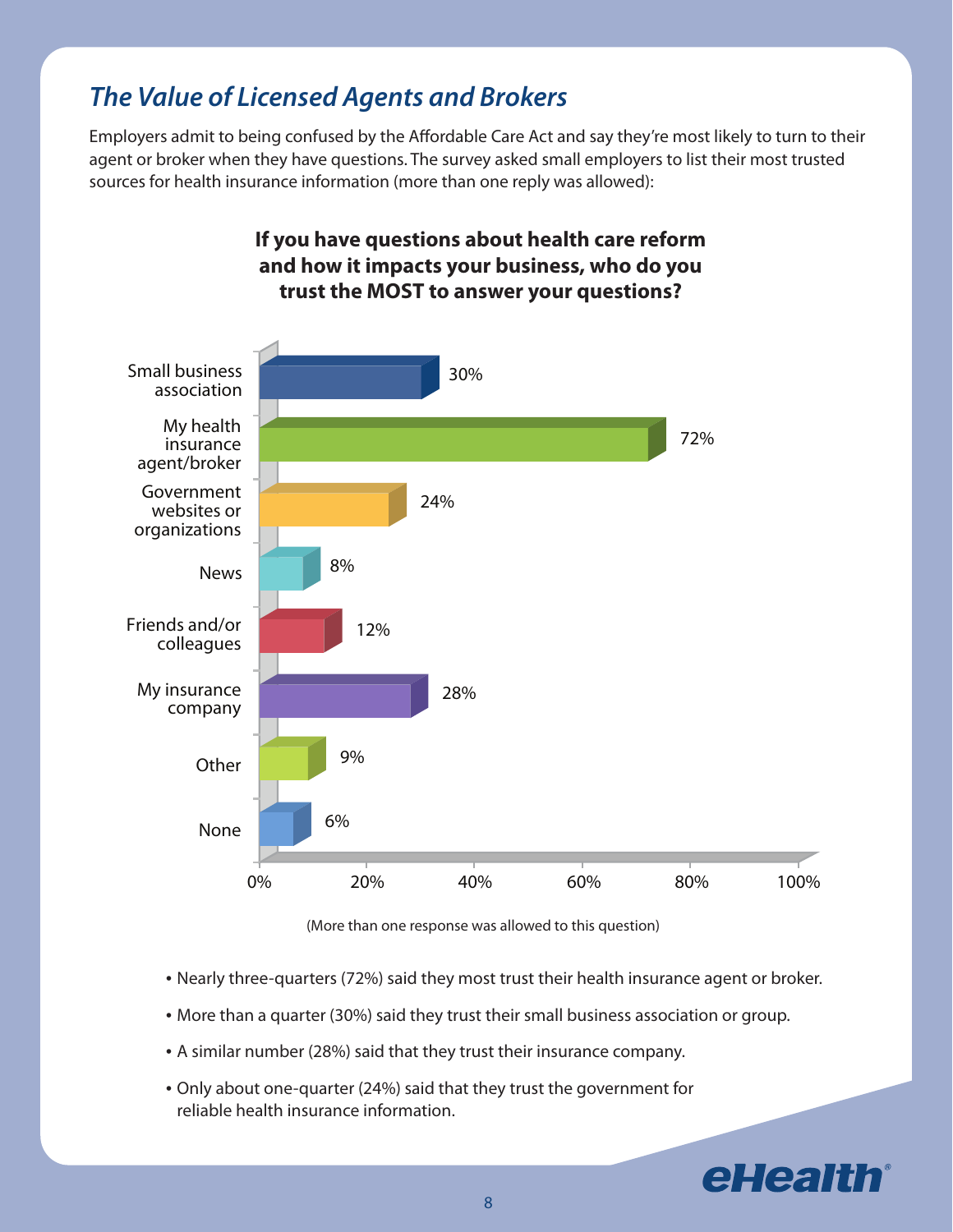## *The Value of Licensed Agents and Brokers*

Employers admit to being confused by the Affordable Care Act and say they're most likely to turn to their agent or broker when they have questions. The survey asked small employers to list their most trusted sources for health insurance information (more than one reply was allowed):



**If you have questions about health care reform and how it impacts your business, who do you**

(More than one response was allowed to this question)

- Nearly three-quarters (72%) said they most trust their health insurance agent or broker.
- More than a quarter (30%) said they trust their small business association or group.
- A similar number (28%) said that they trust their insurance company.
- • Only about one-quarter (24%) said that they trust the government for reliable health insurance information.

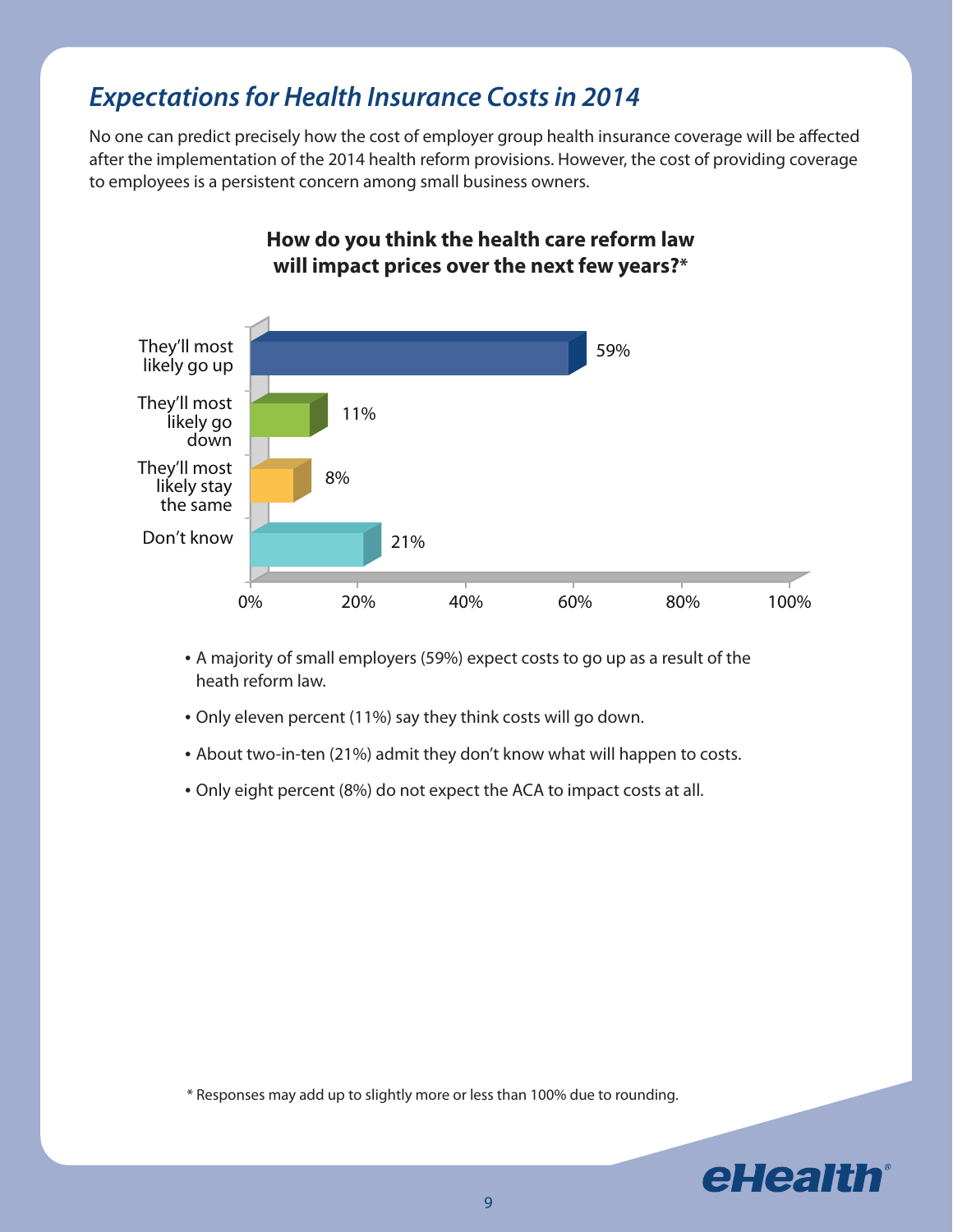## *Expectations for Health Insurance Costs in 2014*

No one can predict precisely how the cost of employer group health insurance coverage will be affected after the implementation of the 2014 health reform provisions. However, the cost of providing coverage to employees is a persistent concern among small business owners.



#### **How do you think the health care reform law will impact prices over the next few years?\***

- • A majority of small employers (59%) expect costs to go up as a result of the heath reform law.
- Only eleven percent (11%) say they think costs will go down.
- About two-in-ten (21%) admit they don't know what will happen to costs.
- Only eight percent (8%) do not expect the ACA to impact costs at all.

\* Responses may add up to slightly more or less than 100% due to rounding.

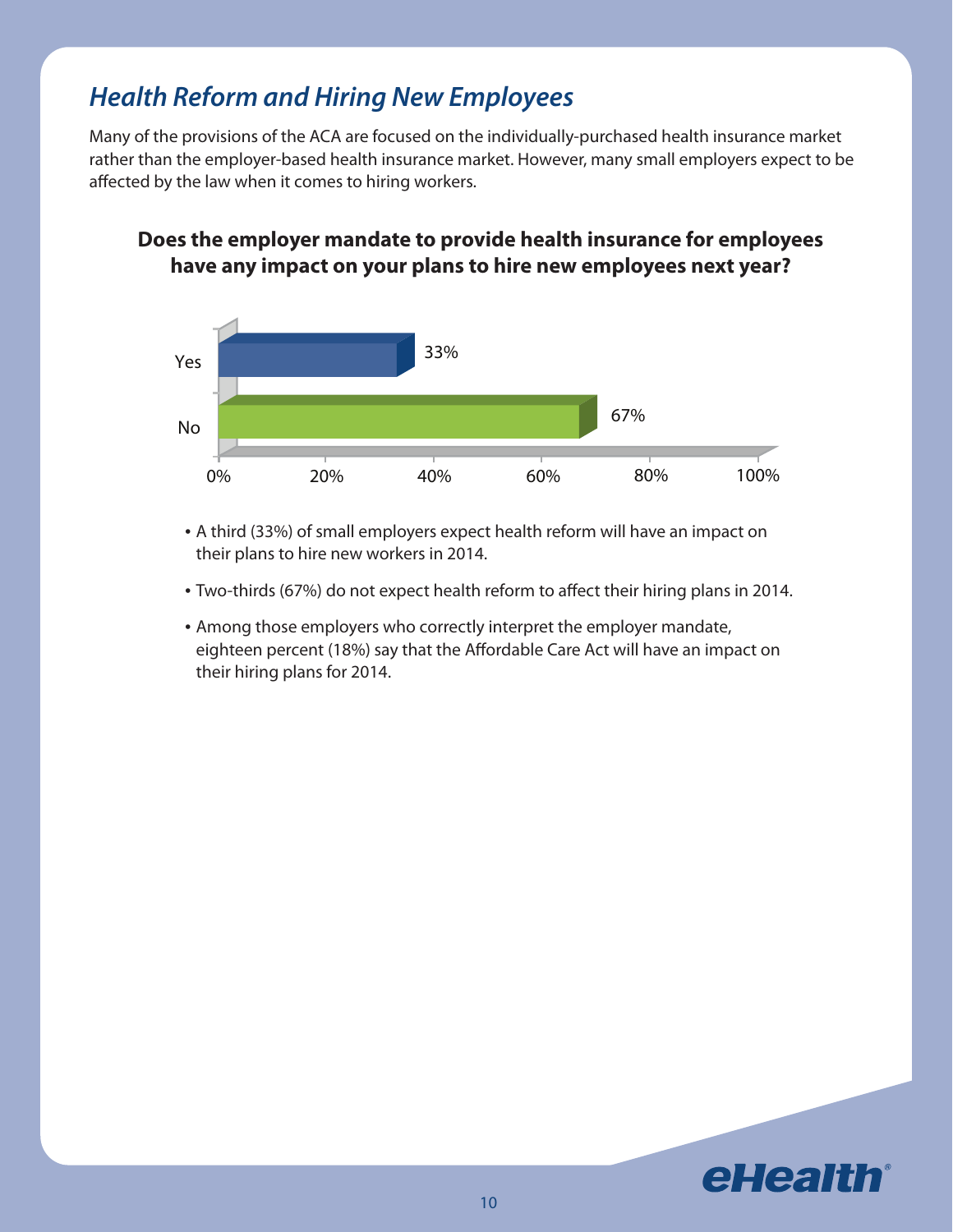## *Health Reform and Hiring New Employees*

Many of the provisions of the ACA are focused on the individually-purchased health insurance market rather than the employer-based health insurance market. However, many small employers expect to be affected by the law when it comes to hiring workers.

#### **Does the employer mandate to provide health insurance for employees have any impact on your plans to hire new employees next year?**



- A third (33%) of small employers expect health reform will have an impact on their plans to hire new workers in 2014.
- Two-thirds (67%) do not expect health reform to affect their hiring plans in 2014.
- Among those employers who correctly interpret the employer mandate, eighteen percent (18%) say that the Affordable Care Act will have an impact on their hiring plans for 2014.